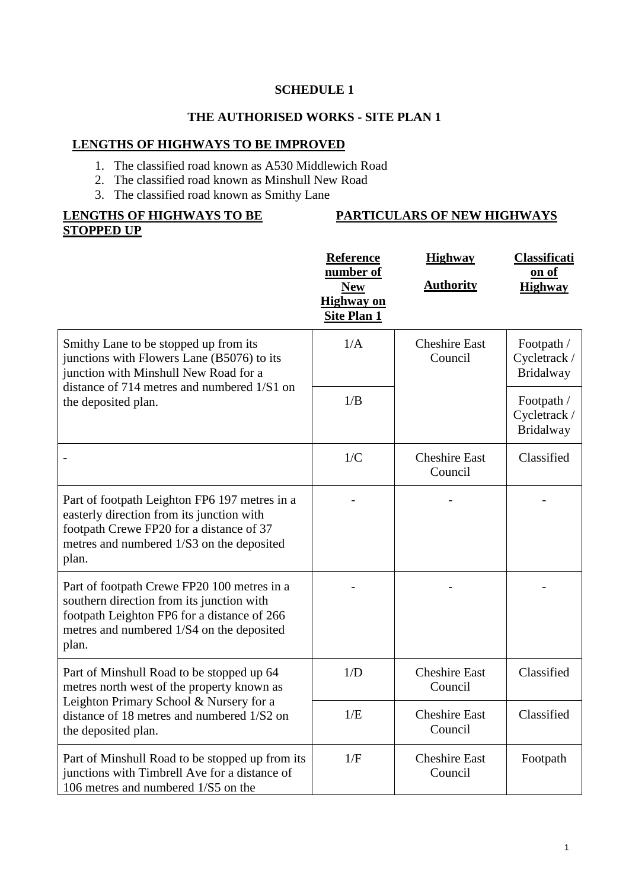#### **THE AUTHORISED WORKS - SITE PLAN 1**

#### **LENGTHS OF HIGHWAYS TO BE IMPROVED**

- 1. The classified road known as A530 Middlewich Road
- 2. The classified road known as Minshull New Road
	- 3. The classified road known as Smithy Lane

# **LENGTHS OF HIGHWAYS TO BE STOPPED UP**

#### **Reference number of New Highway on Site Plan 1 Highway Authority Classificati on of Highway** Smithy Lane to be stopped up from its junctions with Flowers Lane (B5076) to its junction with Minshull New Road for a distance of 714 metres and numbered 1/S1 on the deposited plan. 1/A Cheshire East Council Footpath / Cycletrack / Bridalway 1/B Footpath / Cycletrack / Bridalway - 1/C Cheshire East Council Classified Part of footpath Leighton FP6 197 metres in a easterly direction from its junction with footpath Crewe FP20 for a distance of 37 metres and numbered 1/S3 on the deposited plan. - - - Part of footpath Crewe FP20 100 metres in a southern direction from its junction with footpath Leighton FP6 for a distance of 266 metres and numbered 1/S4 on the deposited plan. - - - Part of Minshull Road to be stopped up 64 metres north west of the property known as Leighton Primary School & Nursery for a distance of 18 metres and numbered 1/S2 on the deposited plan. 1/D Cheshire East Council Classified 1/E Cheshire East Council Classified Part of Minshull Road to be stopped up from its junctions with Timbrell Ave for a distance of 106 metres and numbered 1/S5 on the 1/F Cheshire East Council Footpath

# **PARTICULARS OF NEW HIGHWAYS**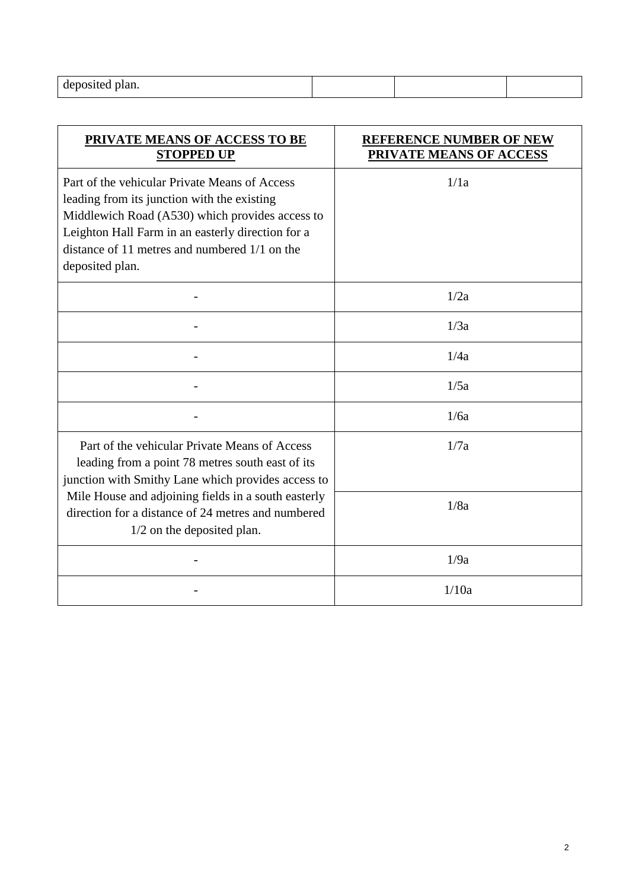| deposited<br>olan. |  |  |
|--------------------|--|--|
|                    |  |  |

| PRIVATE MEANS OF ACCESS TO BE<br><b>STOPPED UP</b>                                                                                                                                                                                                                         | <b>REFERENCE NUMBER OF NEW</b><br>PRIVATE MEANS OF ACCESS |
|----------------------------------------------------------------------------------------------------------------------------------------------------------------------------------------------------------------------------------------------------------------------------|-----------------------------------------------------------|
| Part of the vehicular Private Means of Access<br>leading from its junction with the existing<br>Middlewich Road (A530) which provides access to<br>Leighton Hall Farm in an easterly direction for a<br>distance of 11 metres and numbered $1/1$ on the<br>deposited plan. | 1/1a                                                      |
|                                                                                                                                                                                                                                                                            | 1/2a                                                      |
|                                                                                                                                                                                                                                                                            | 1/3a                                                      |
|                                                                                                                                                                                                                                                                            | 1/4a                                                      |
|                                                                                                                                                                                                                                                                            | 1/5a                                                      |
|                                                                                                                                                                                                                                                                            | 1/6a                                                      |
| Part of the vehicular Private Means of Access<br>leading from a point 78 metres south east of its<br>junction with Smithy Lane which provides access to                                                                                                                    | 1/7a                                                      |
| Mile House and adjoining fields in a south easterly<br>direction for a distance of 24 metres and numbered<br>$1/2$ on the deposited plan.                                                                                                                                  | 1/8a                                                      |
|                                                                                                                                                                                                                                                                            | 1/9a                                                      |
|                                                                                                                                                                                                                                                                            | 1/10a                                                     |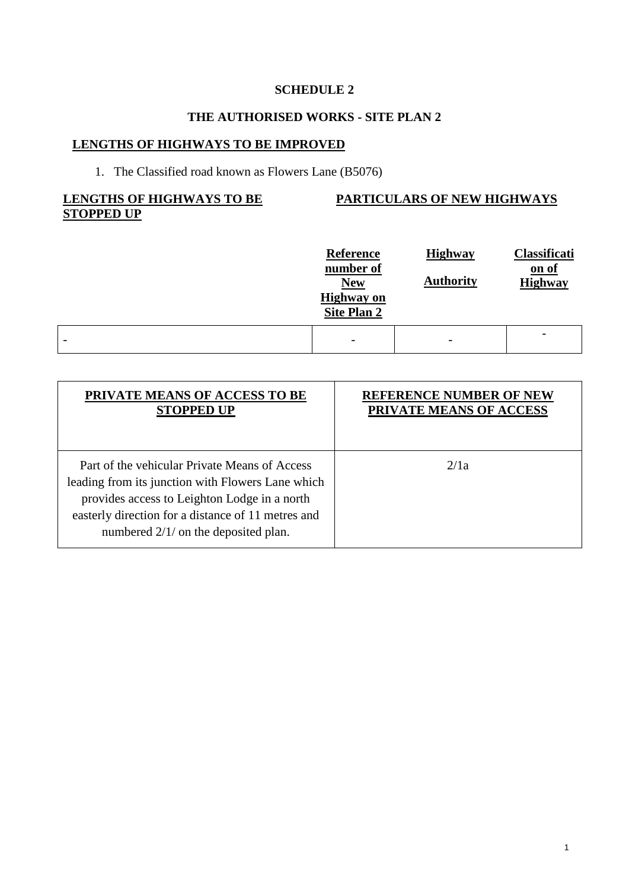## **THE AUTHORISED WORKS - SITE PLAN 2**

# **LENGTHS OF HIGHWAYS TO BE IMPROVED**

# 1. The Classified road known as Flowers Lane (B5076)

#### **LENGTHS OF HIGHWAYS TO BE STOPPED UP**

#### **PARTICULARS OF NEW HIGHWAYS**

|   | <b>Reference</b><br>number of<br><b>New</b><br><b>Highway</b> on<br><b>Site Plan 2</b> | <b>Highway</b><br><b>Authority</b> | Classificati<br>on of<br><b>Highway</b> |
|---|----------------------------------------------------------------------------------------|------------------------------------|-----------------------------------------|
| - | $\overline{\phantom{a}}$                                                               | $\overline{\phantom{a}}$           |                                         |

| PRIVATE MEANS OF ACCESS TO BE                                                                                                                                                                                                                      | <b>REFERENCE NUMBER OF NEW</b> |
|----------------------------------------------------------------------------------------------------------------------------------------------------------------------------------------------------------------------------------------------------|--------------------------------|
| <b>STOPPED UP</b>                                                                                                                                                                                                                                  | PRIVATE MEANS OF ACCESS        |
| Part of the vehicular Private Means of Access<br>leading from its junction with Flowers Lane which<br>provides access to Leighton Lodge in a north<br>easterly direction for a distance of 11 metres and<br>numbered $2/1/$ on the deposited plan. | 2/1a                           |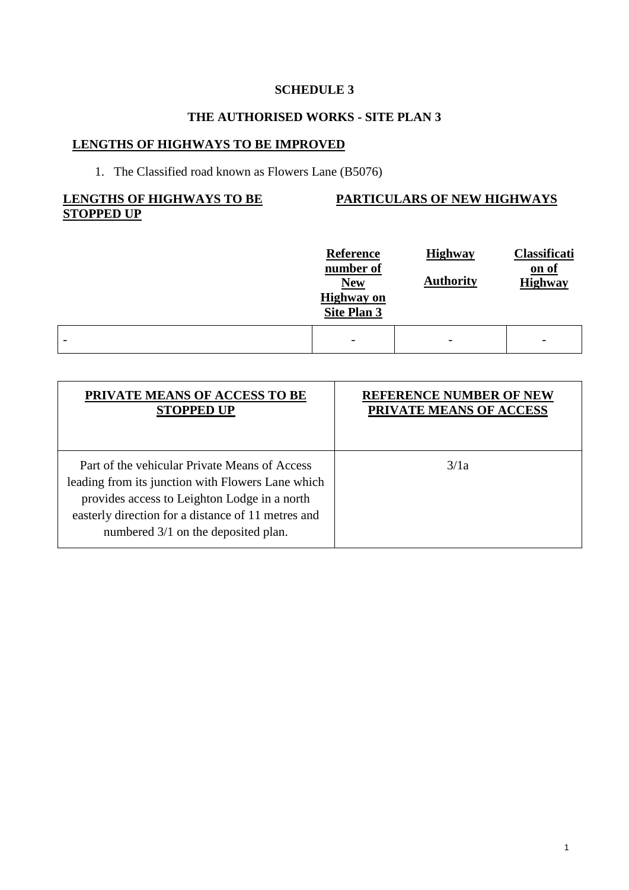## **THE AUTHORISED WORKS - SITE PLAN 3**

# **LENGTHS OF HIGHWAYS TO BE IMPROVED**

# 1. The Classified road known as Flowers Lane (B5076)

#### **LENGTHS OF HIGHWAYS TO BE STOPPED UP**

#### **PARTICULARS OF NEW HIGHWAYS**

|   | <b>Reference</b><br>number of<br><b>New</b><br><b>Highway</b> on<br>Site Plan 3 | <b>Highway</b><br><b>Authority</b> | Classificati<br>on of<br><b>Highway</b> |
|---|---------------------------------------------------------------------------------|------------------------------------|-----------------------------------------|
| - | $\overline{\phantom{a}}$                                                        | $\overline{\phantom{0}}$           | $\overline{\phantom{a}}$                |

| PRIVATE MEANS OF ACCESS TO BE                                                                                                                                                                                                                   | <b>REFERENCE NUMBER OF NEW</b> |
|-------------------------------------------------------------------------------------------------------------------------------------------------------------------------------------------------------------------------------------------------|--------------------------------|
| <b>STOPPED UP</b>                                                                                                                                                                                                                               | PRIVATE MEANS OF ACCESS        |
| Part of the vehicular Private Means of Access<br>leading from its junction with Flowers Lane which<br>provides access to Leighton Lodge in a north<br>easterly direction for a distance of 11 metres and<br>numbered 3/1 on the deposited plan. | 3/1a                           |